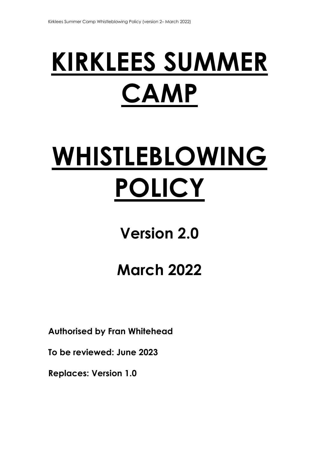# **KIRKLEES SUMMER CAMP**

# **WHISTLEBLOWING POLICY**

## **Version 2.0**

# **March 2022**

**Authorised by Fran Whitehead** 

**To be reviewed: June 2023** 

**Replaces: Version 1.0**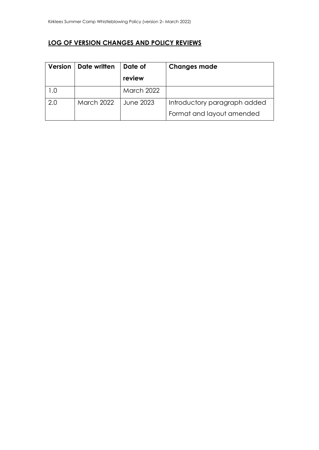## **LOG OF VERSION CHANGES AND POLICY REVIEWS**

| <b>Version</b> | Date written      | Date of           | <b>Changes made</b>          |
|----------------|-------------------|-------------------|------------------------------|
|                |                   | review            |                              |
|                |                   | <b>March 2022</b> |                              |
| 2.0            | <b>March 2022</b> | June 2023         | Introductory paragraph added |
|                |                   |                   | Format and layout amended    |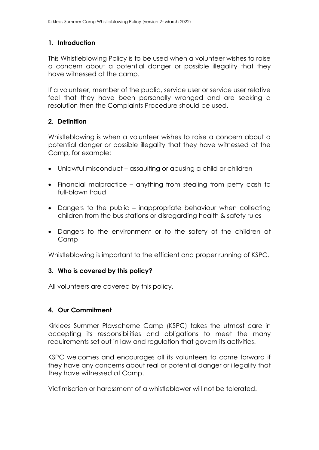#### **1. Introduction**

This Whistleblowing Policy is to be used when a volunteer wishes to raise a concern about a potential danger or possible illegality that they have witnessed at the camp.

If a volunteer, member of the public, service user or service user relative feel that they have been personally wronged and are seeking a resolution then the Complaints Procedure should be used.

#### **2. Definition**

Whistleblowing is when a volunteer wishes to raise a concern about a potential danger or possible illegality that they have witnessed at the Camp, for example:

- Unlawful misconduct assaulting or abusing a child or children
- Financial malpractice anything from stealing from petty cash to full-blown fraud
- Dangers to the public inappropriate behaviour when collecting children from the bus stations or disregarding health & safety rules
- Dangers to the environment or to the safety of the children at Camp

Whistleblowing is important to the efficient and proper running of KSPC.

## **3. Who is covered by this policy?**

All volunteers are covered by this policy.

## **4. Our Commitment**

Kirklees Summer Playscheme Camp (KSPC) takes the utmost care in accepting its responsibilities and obligations to meet the many requirements set out in law and regulation that govern its activities.

KSPC welcomes and encourages all its volunteers to come forward if they have any concerns about real or potential danger or illegality that they have witnessed at Camp.

Victimisation or harassment of a whistleblower will not be tolerated.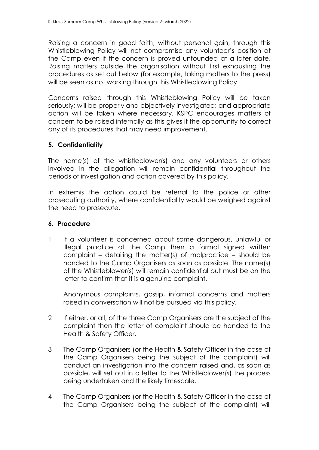Raising a concern in good faith, without personal gain, through this Whistleblowing Policy will not compromise any volunteer's position at the Camp even if the concern is proved unfounded at a later date. Raising matters outside the organisation without first exhausting the procedures as set out below (for example, taking matters to the press) will be seen as not working through this Whistleblowing Policy.

Concerns raised through this Whistleblowing Policy will be taken seriously; will be properly and objectively investigated; and appropriate action will be taken where necessary. KSPC encourages matters of concern to be raised internally as this gives it the opportunity to correct any of its procedures that may need improvement.

#### **5. Confidentiality**

The name(s) of the whistleblower(s) and any volunteers or others involved in the allegation will remain confidential throughout the periods of investigation and action covered by this policy.

In extremis the action could be referral to the police or other prosecuting authority, where confidentiality would be weighed against the need to prosecute.

#### **6. Procedure**

1 If a volunteer is concerned about some dangerous, unlawful or illegal practice at the Camp then a formal signed written complaint – detailing the matter(s) of malpractice – should be handed to the Camp Organisers as soon as possible. The name(s) of the Whistleblower(s) will remain confidential but must be on the letter to confirm that it is a genuine complaint.

Anonymous complaints, gossip, informal concerns and matters raised in conversation will not be pursued via this policy.

- 2 If either, or all, of the three Camp Organisers are the subject of the complaint then the letter of complaint should be handed to the Health & Safety Officer.
- 3 The Camp Organisers (or the Health & Safety Officer in the case of the Camp Organisers being the subject of the complaint) will conduct an investigation into the concern raised and, as soon as possible, will set out in a letter to the Whistleblower(s) the process being undertaken and the likely timescale.
- 4 The Camp Organisers (or the Health & Safety Officer in the case of the Camp Organisers being the subject of the complaint) will